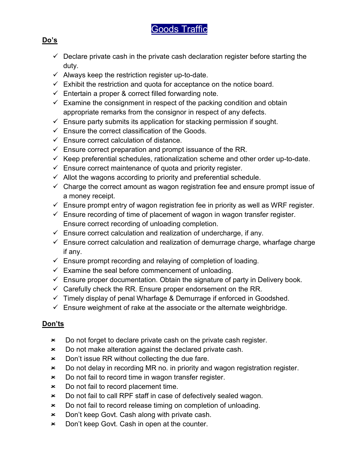# Goods Traffic

#### Do's

- $\checkmark$  Declare private cash in the private cash declaration register before starting the duty.
- $\checkmark$  Always keep the restriction register up-to-date.
- $\checkmark$  Exhibit the restriction and quota for acceptance on the notice board.
- $\checkmark$  Entertain a proper & correct filled forwarding note.
- $\checkmark$  Examine the consignment in respect of the packing condition and obtain appropriate remarks from the consignor in respect of any defects.
- $\checkmark$  Ensure party submits its application for stacking permission if sought.
- $\checkmark$  Ensure the correct classification of the Goods.
- $\checkmark$  Ensure correct calculation of distance.
- $\checkmark$  Ensure correct preparation and prompt issuance of the RR.
- $\checkmark$  Keep preferential schedules, rationalization scheme and other order up-to-date.
- $\checkmark$  Ensure correct maintenance of quota and priority register.
- $\checkmark$  Allot the wagons according to priority and preferential schedule.
- $\checkmark$  Charge the correct amount as wagon registration fee and ensure prompt issue of a money receipt.
- $\checkmark$  Ensure prompt entry of wagon registration fee in priority as well as WRF register.
- $\checkmark$  Ensure recording of time of placement of wagon in wagon transfer register. Ensure correct recording of unloading completion.
- $\checkmark$  Ensure correct calculation and realization of undercharge, if any.
- $\checkmark$  Ensure correct calculation and realization of demurrage charge, wharfage charge if any.
- $\checkmark$  Ensure prompt recording and relaying of completion of loading.
- $\checkmark$  Examine the seal before commencement of unloading.
- $\checkmark$  Ensure proper documentation. Obtain the signature of party in Delivery book.
- $\checkmark$  Carefully check the RR. Ensure proper endorsement on the RR.
- $\checkmark$  Timely display of penal Wharfage & Demurrage if enforced in Goodshed.
- $\checkmark$  Ensure weighment of rake at the associate or the alternate weighbridge.

## Don'ts

- **EXEC** Do not forget to declare private cash on the private cash register.
- Do not make alteration against the declared private cash.
- $\star$  Don't issue RR without collecting the due fare.
- Do not delay in recording MR no. in priority and wagon registration register.
- Do not fail to record time in wagon transfer register.
- **EXEC** Do not fail to record placement time.
- Do not fail to call RPF staff in case of defectively sealed wagon.
- Do not fail to record release timing on completion of unloading.
- **\*** Don't keep Govt. Cash along with private cash.
- Don't keep Govt. Cash in open at the counter.